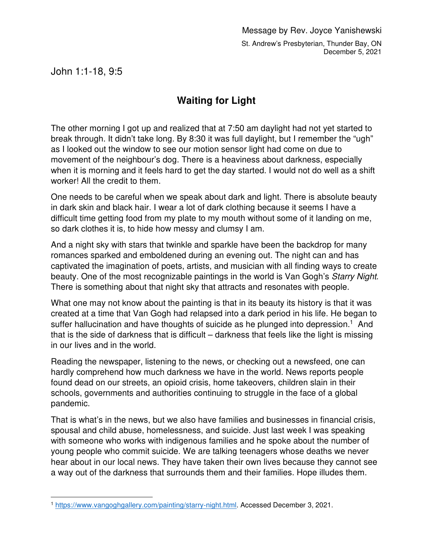John 1:1-18, 9:5

## **Waiting for Light**

The other morning I got up and realized that at 7:50 am daylight had not yet started to break through. It didn't take long. By 8:30 it was full daylight, but I remember the "ugh" as I looked out the window to see our motion sensor light had come on due to movement of the neighbour's dog. There is a heaviness about darkness, especially when it is morning and it feels hard to get the day started. I would not do well as a shift worker! All the credit to them.

One needs to be careful when we speak about dark and light. There is absolute beauty in dark skin and black hair. I wear a lot of dark clothing because it seems I have a difficult time getting food from my plate to my mouth without some of it landing on me, so dark clothes it is, to hide how messy and clumsy I am.

And a night sky with stars that twinkle and sparkle have been the backdrop for many romances sparked and emboldened during an evening out. The night can and has captivated the imagination of poets, artists, and musician with all finding ways to create beauty. One of the most recognizable paintings in the world is Van Gogh's Starry Night. There is something about that night sky that attracts and resonates with people.

What one may not know about the painting is that in its beauty its history is that it was created at a time that Van Gogh had relapsed into a dark period in his life. He began to suffer hallucination and have thoughts of suicide as he plunged into depression.<sup>1</sup> And that is the side of darkness that is difficult – darkness that feels like the light is missing in our lives and in the world.

Reading the newspaper, listening to the news, or checking out a newsfeed, one can hardly comprehend how much darkness we have in the world. News reports people found dead on our streets, an opioid crisis, home takeovers, children slain in their schools, governments and authorities continuing to struggle in the face of a global pandemic.

That is what's in the news, but we also have families and businesses in financial crisis, spousal and child abuse, homelessness, and suicide. Just last week I was speaking with someone who works with indigenous families and he spoke about the number of young people who commit suicide. We are talking teenagers whose deaths we never hear about in our local news. They have taken their own lives because they cannot see a way out of the darkness that surrounds them and their families. Hope illudes them.

<sup>1</sup> https://www.vangoghgallery.com/painting/starry-night.html. Accessed December 3, 2021.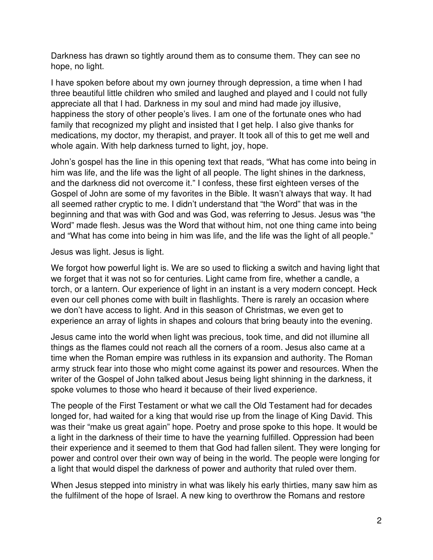Darkness has drawn so tightly around them as to consume them. They can see no hope, no light.

I have spoken before about my own journey through depression, a time when I had three beautiful little children who smiled and laughed and played and I could not fully appreciate all that I had. Darkness in my soul and mind had made joy illusive, happiness the story of other people's lives. I am one of the fortunate ones who had family that recognized my plight and insisted that I get help. I also give thanks for medications, my doctor, my therapist, and prayer. It took all of this to get me well and whole again. With help darkness turned to light, joy, hope.

John's gospel has the line in this opening text that reads, "What has come into being in him was life, and the life was the light of all people. The light shines in the darkness, and the darkness did not overcome it." I confess, these first eighteen verses of the Gospel of John are some of my favorites in the Bible. It wasn't always that way. It had all seemed rather cryptic to me. I didn't understand that "the Word" that was in the beginning and that was with God and was God, was referring to Jesus. Jesus was "the Word" made flesh. Jesus was the Word that without him, not one thing came into being and "What has come into being in him was life, and the life was the light of all people."

Jesus was light. Jesus is light.

We forgot how powerful light is. We are so used to flicking a switch and having light that we forget that it was not so for centuries. Light came from fire, whether a candle, a torch, or a lantern. Our experience of light in an instant is a very modern concept. Heck even our cell phones come with built in flashlights. There is rarely an occasion where we don't have access to light. And in this season of Christmas, we even get to experience an array of lights in shapes and colours that bring beauty into the evening.

Jesus came into the world when light was precious, took time, and did not illumine all things as the flames could not reach all the corners of a room. Jesus also came at a time when the Roman empire was ruthless in its expansion and authority. The Roman army struck fear into those who might come against its power and resources. When the writer of the Gospel of John talked about Jesus being light shinning in the darkness, it spoke volumes to those who heard it because of their lived experience.

The people of the First Testament or what we call the Old Testament had for decades longed for, had waited for a king that would rise up from the linage of King David. This was their "make us great again" hope. Poetry and prose spoke to this hope. It would be a light in the darkness of their time to have the yearning fulfilled. Oppression had been their experience and it seemed to them that God had fallen silent. They were longing for power and control over their own way of being in the world. The people were longing for a light that would dispel the darkness of power and authority that ruled over them.

When Jesus stepped into ministry in what was likely his early thirties, many saw him as the fulfilment of the hope of Israel. A new king to overthrow the Romans and restore